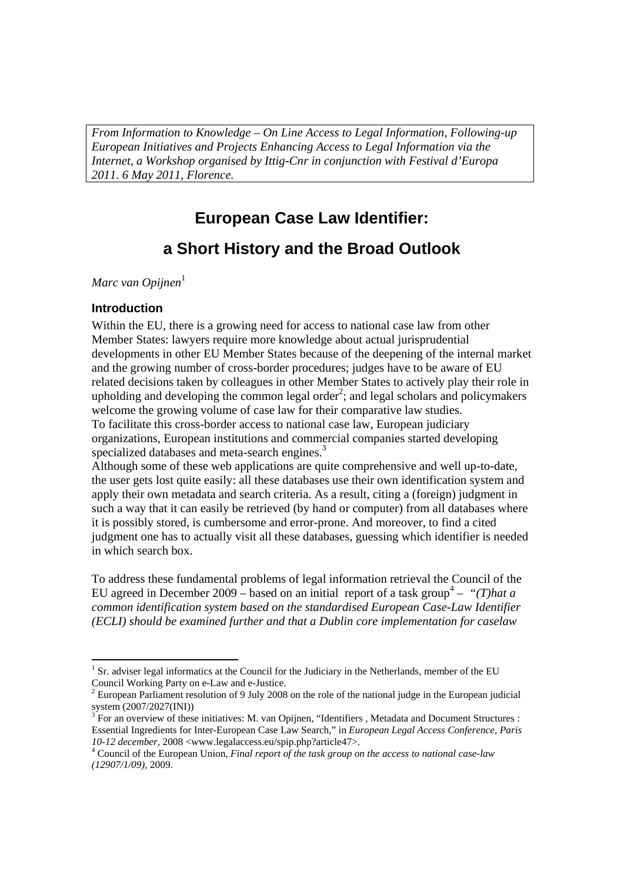*From Information to Knowledge – On Line Access to Legal Information, Following-up European Initiatives and Projects Enhancing Access to Legal Information via the Internet, a Workshop organised by Ittig-Cnr in conjunction with Festival d'Europa 2011. 6 May 2011, Florence.* 

# **European Case Law Identifier: a Short History and the Broad Outlook**

*Marc van Opijnen*<sup>1</sup>

#### **Introduction**

Within the EU, there is a growing need for access to national case law from other Member States: lawyers require more knowledge about actual jurisprudential developments in other EU Member States because of the deepening of the internal market and the growing number of cross-border procedures; judges have to be aware of EU related decisions taken by colleagues in other Member States to actively play their role in upholding and developing the common legal order<sup>2</sup>; and legal scholars and policymakers welcome the growing volume of case law for their comparative law studies. To facilitate this cross-border access to national case law, European judiciary organizations, European institutions and commercial companies started developing specialized databases and meta-search engines.<sup>3</sup>

Although some of these web applications are quite comprehensive and well up-to-date, the user gets lost quite easily: all these databases use their own identification system and apply their own metadata and search criteria. As a result, citing a (foreign) judgment in such a way that it can easily be retrieved (by hand or computer) from all databases where it is possibly stored, is cumbersome and error-prone. And moreover, to find a cited judgment one has to actually visit all these databases, guessing which identifier is needed in which search box.

To address these fundamental problems of legal information retrieval the Council of the EU agreed in December 2009 – based on an initial report of a task group<sup>4</sup> – "(*T*)hat a *common identification system based on the standardised European Case-Law Identifier (ECLI) should be examined further and that a Dublin core implementation for caselaw* 

 <sup>1</sup> Sr. adviser legal informatics at the Council for the Judiciary in the Netherlands, member of the EU Council Working Party on e-Law and e-Justice.

 $2^{2}$  European Parliament resolution of 9 July 2008 on the role of the national judge in the European judicial system (2007/2027(INI))

 $3^{3}$  For an overview of these initiatives: M. van Opijnen, "Identifiers, Metadata and Document Structures : Essential Ingredients for Inter-European Case Law Search," in *European Legal Access Conference, Paris 10-12 december*, 2008 <www.legalaccess.eu/spip.php?article47>. 4

Council of the European Union, *Final report of the task group on the access to national case-law (12907/1/09)*, 2009.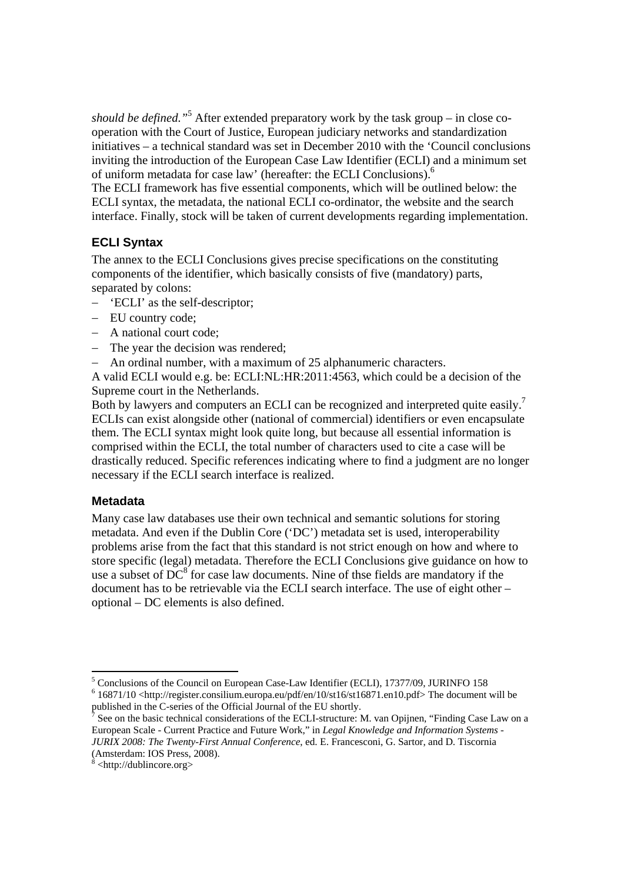*should be defined."*<sup>5</sup> After extended preparatory work by the task group – in close cooperation with the Court of Justice, European judiciary networks and standardization initiatives – a technical standard was set in December 2010 with the 'Council conclusions inviting the introduction of the European Case Law Identifier (ECLI) and a minimum set of uniform metadata for case law' (hereafter: the ECLI Conclusions).<sup>6</sup>

The ECLI framework has five essential components, which will be outlined below: the ECLI syntax, the metadata, the national ECLI co-ordinator, the website and the search interface. Finally, stock will be taken of current developments regarding implementation.

# **ECLI Syntax**

The annex to the ECLI Conclusions gives precise specifications on the constituting components of the identifier, which basically consists of five (mandatory) parts, separated by colons:

- 'ECLI' as the self-descriptor;
- EU country code;
- A national court code:
- The year the decision was rendered;
- An ordinal number, with a maximum of 25 alphanumeric characters.

A valid ECLI would e.g. be: ECLI:NL:HR:2011:4563, which could be a decision of the Supreme court in the Netherlands.

Both by lawyers and computers an ECLI can be recognized and interpreted quite easily.<sup>7</sup> ECLIs can exist alongside other (national of commercial) identifiers or even encapsulate them. The ECLI syntax might look quite long, but because all essential information is comprised within the ECLI, the total number of characters used to cite a case will be drastically reduced. Specific references indicating where to find a judgment are no longer necessary if the ECLI search interface is realized.

### **Metadata**

Many case law databases use their own technical and semantic solutions for storing metadata. And even if the Dublin Core ('DC') metadata set is used, interoperability problems arise from the fact that this standard is not strict enough on how and where to store specific (legal) metadata. Therefore the ECLI Conclusions give guidance on how to use a subset of  $DC^8$  for case law documents. Nine of thse fields are mandatory if the document has to be retrievable via the ECLI search interface. The use of eight other – optional – DC elements is also defined.

<sup>&</sup>lt;sup>5</sup> Conclusions of the Council on European Case-Law Identifier (ECLI), 17377/09, JURINFO 158 <sup>6</sup> 16871/10 <http://register.consilium.europa.eu/pdf/en/10/st16/st16871.en10.pdf>The document will be

published in the C-series of the Official Journal of the EU shortly.

<sup>7</sup> See on the basic technical considerations of the ECLI-structure: M. van Opijnen, "Finding Case Law on a European Scale - Current Practice and Future Work," in *Legal Knowledge and Information Systems - JURIX 2008: The Twenty-First Annual Conference*, ed. E. Francesconi, G. Sartor, and D. Tiscornia (Amsterdam: IOS Press, 2008).

 $8$  <http://dublincore.org>